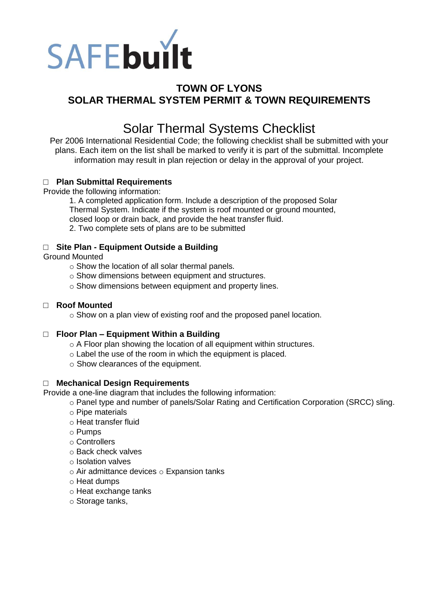

# **TOWN OF LYONS SOLAR THERMAL SYSTEM PERMIT & TOWN REQUIREMENTS**

# Solar Thermal Systems Checklist

Per 2006 International Residential Code; the following checklist shall be submitted with your plans. Each item on the list shall be marked to verify it is part of the submittal. Incomplete information may result in plan rejection or delay in the approval of your project.

# □ **Plan Submittal Requirements**

Provide the following information:

1. A completed application form. Include a description of the proposed Solar Thermal System. Indicate if the system is roof mounted or ground mounted, closed loop or drain back, and provide the heat transfer fluid. 2. Two complete sets of plans are to be submitted

# □ **Site Plan - Equipment Outside a Building**

Ground Mounted

- o Show the location of all solar thermal panels.
- o Show dimensions between equipment and structures.
- o Show dimensions between equipment and property lines.

#### □ **Roof Mounted**

o Show on a plan view of existing roof and the proposed panel location.

# □ **Floor Plan – Equipment Within a Building**

- $\circ$  A Floor plan showing the location of all equipment within structures.
- o Label the use of the room in which the equipment is placed.
- o Show clearances of the equipment.

#### □ **Mechanical Design Requirements**

Provide a one-line diagram that includes the following information:

o Panel type and number of panels/Solar Rating and Certification Corporation (SRCC) sling.

- o Pipe materials
- o Heat transfer fluid
- o Pumps
- o Controllers
- o Back check valves
- o Isolation valves
- o Air admittance devices o Expansion tanks
- o Heat dumps
- o Heat exchange tanks
- o Storage tanks,